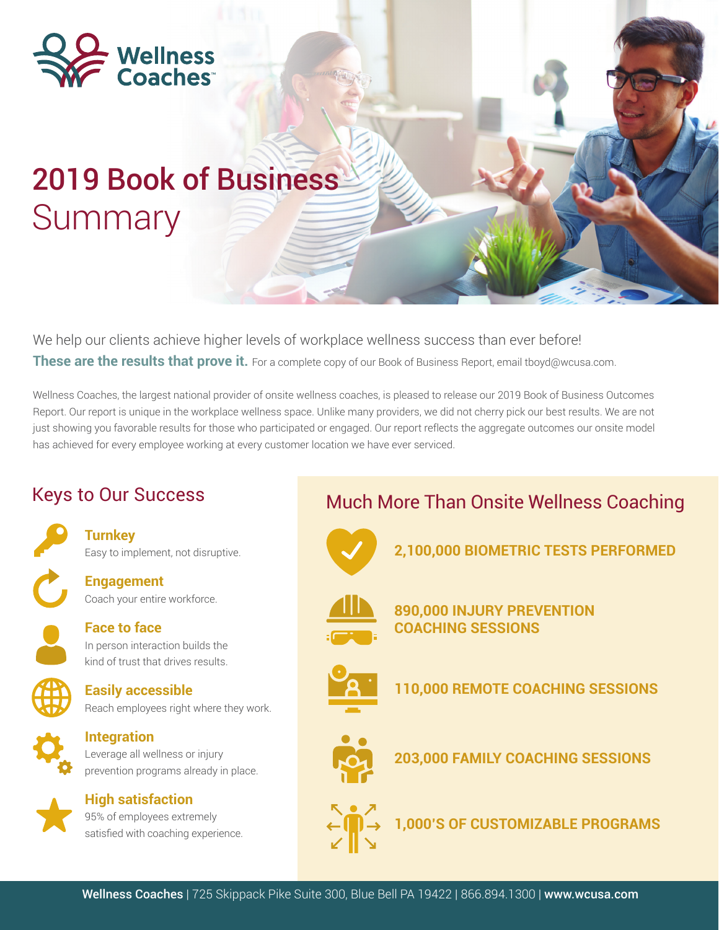

# 2019 Book of Business **Summary**

We help our clients achieve higher levels of workplace wellness success than ever before! **These are the results that prove it.** For a complete copy of our Book of Business Report, email tboyd@wcusa.com.

Wellness Coaches, the largest national provider of onsite wellness coaches, is pleased to release our 2019 Book of Business Outcomes Report. Our report is unique in the workplace wellness space. Unlike many providers, we did not cherry pick our best results. We are not just showing you favorable results for those who participated or engaged. Our report reflects the aggregate outcomes our onsite model has achieved for every employee working at every customer location we have ever serviced.

### Keys to Our Success

**Turnkey** Easy to implement, not disruptive.

- **Engagement** Coach your entire workforce.
- 
- **Face to face** In person interaction builds the kind of trust that drives results.
- 
- **Easily accessible** Reach employees right where they work.

**Integration** Leverage all wellness or injury prevention programs already in place.



**High satisfaction** 95% of employees extremely satisfied with coaching experience.

## Much More Than Onsite Wellness Coaching



**2,100,000 BIOMETRIC TESTS PERFORMED**



**890,000 INJURY PREVENTION COACHING SESSIONS**



**110,000 REMOTE COACHING SESSIONS**



**203,000 FAMILY COACHING SESSIONS**



**1,000'S OF CUSTOMIZABLE PROGRAMS**